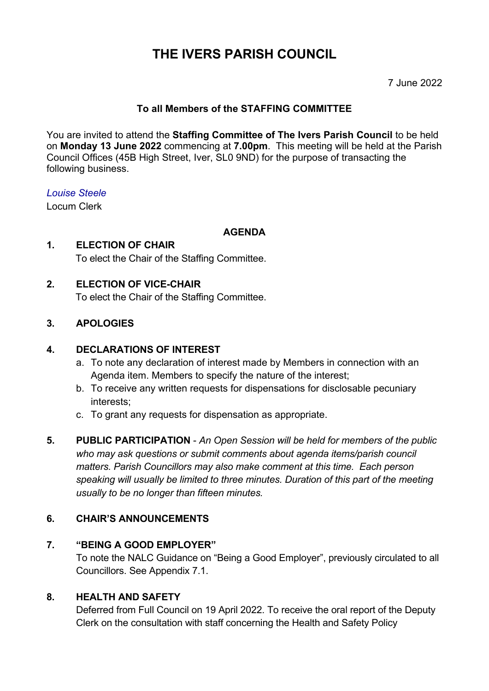# **THE IVERS PARISH COUNCIL**

### 7 June 2022

### **To all Members of the STAFFING COMMITTEE**

You are invited to attend the **Staffing Committee of The Ivers Parish Council** to be held on **Monday 13 June 2022** commencing at **7.00pm**. This meeting will be held at the Parish Council Offices (45B High Street, Iver, SL0 9ND) for the purpose of transacting the following business.

#### *Louise Steele*

Locum Clerk

#### **AGENDA**

## **1. ELECTION OF CHAIR** To elect the Chair of the Staffing Committee.

#### **2. ELECTION OF VICE-CHAIR**

To elect the Chair of the Staffing Committee.

#### **3. APOLOGIES**

#### **4. DECLARATIONS OF INTEREST**

- a. To note any declaration of interest made by Members in connection with an Agenda item. Members to specify the nature of the interest;
- b. To receive any written requests for dispensations for disclosable pecuniary interests;
- c. To grant any requests for dispensation as appropriate.
- **5. PUBLIC PARTICIPATION**  *An Open Session will be held for members of the public who may ask questions or submit comments about agenda items/parish council matters. Parish Councillors may also make comment at this time. Each person speaking will usually be limited to three minutes. Duration of this part of the meeting usually to be no longer than fifteen minutes.*

#### **6. CHAIR'S ANNOUNCEMENTS**

## **7. "BEING A GOOD EMPLOYER"**

To note the NALC Guidance on "Being a Good Employer", previously circulated to all Councillors. See Appendix 7.1.

## **8. HEALTH AND SAFETY**

Deferred from Full Council on 19 April 2022. To receive the oral report of the Deputy Clerk on the consultation with staff concerning the Health and Safety Policy